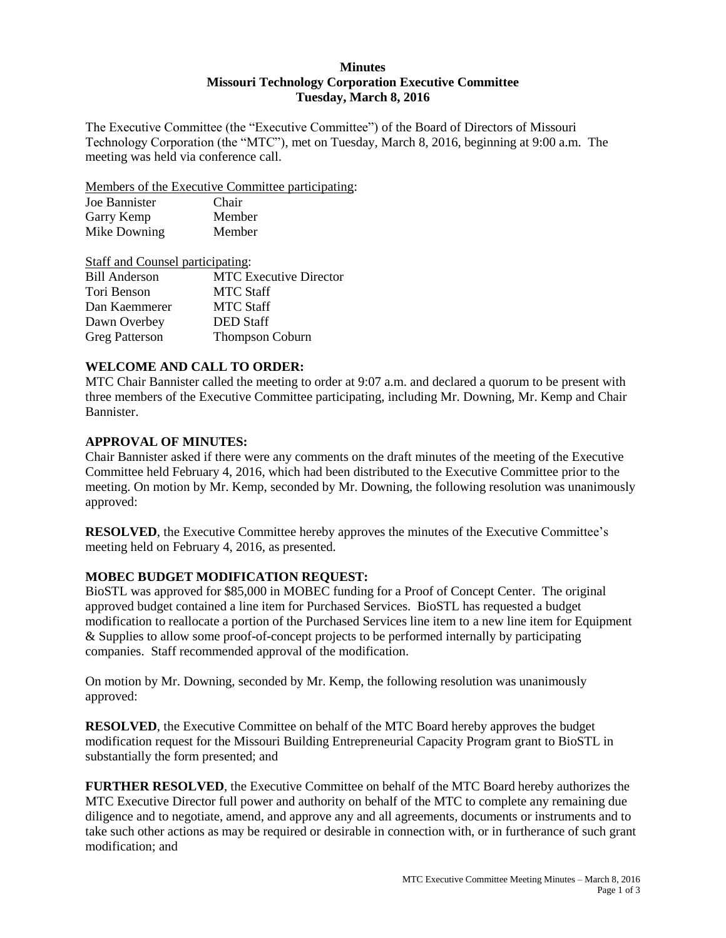## **Minutes Missouri Technology Corporation Executive Committee Tuesday, March 8, 2016**

The Executive Committee (the "Executive Committee") of the Board of Directors of Missouri Technology Corporation (the "MTC"), met on Tuesday, March 8, 2016, beginning at 9:00 a.m. The meeting was held via conference call.

Members of the Executive Committee participating:

| Joe Bannister | Chair  |
|---------------|--------|
| Garry Kemp    | Member |
| Mike Downing  | Member |

| Staff and Counsel participating: |                               |
|----------------------------------|-------------------------------|
| <b>Bill Anderson</b>             | <b>MTC</b> Executive Director |
| Tori Benson                      | <b>MTC</b> Staff              |
| Dan Kaemmerer                    | <b>MTC Staff</b>              |
| Dawn Overbey                     | <b>DED</b> Staff              |
| <b>Greg Patterson</b>            | <b>Thompson Coburn</b>        |

# **WELCOME AND CALL TO ORDER:**

MTC Chair Bannister called the meeting to order at 9:07 a.m. and declared a quorum to be present with three members of the Executive Committee participating, including Mr. Downing, Mr. Kemp and Chair Bannister.

## **APPROVAL OF MINUTES:**

Chair Bannister asked if there were any comments on the draft minutes of the meeting of the Executive Committee held February 4, 2016, which had been distributed to the Executive Committee prior to the meeting. On motion by Mr. Kemp, seconded by Mr. Downing, the following resolution was unanimously approved:

**RESOLVED**, the Executive Committee hereby approves the minutes of the Executive Committee's meeting held on February 4, 2016, as presented.

# **MOBEC BUDGET MODIFICATION REQUEST:**

BioSTL was approved for \$85,000 in MOBEC funding for a Proof of Concept Center. The original approved budget contained a line item for Purchased Services. BioSTL has requested a budget modification to reallocate a portion of the Purchased Services line item to a new line item for Equipment & Supplies to allow some proof-of-concept projects to be performed internally by participating companies. Staff recommended approval of the modification.

On motion by Mr. Downing, seconded by Mr. Kemp, the following resolution was unanimously approved:

**RESOLVED**, the Executive Committee on behalf of the MTC Board hereby approves the budget modification request for the Missouri Building Entrepreneurial Capacity Program grant to BioSTL in substantially the form presented; and

**FURTHER RESOLVED**, the Executive Committee on behalf of the MTC Board hereby authorizes the MTC Executive Director full power and authority on behalf of the MTC to complete any remaining due diligence and to negotiate, amend, and approve any and all agreements, documents or instruments and to take such other actions as may be required or desirable in connection with, or in furtherance of such grant modification; and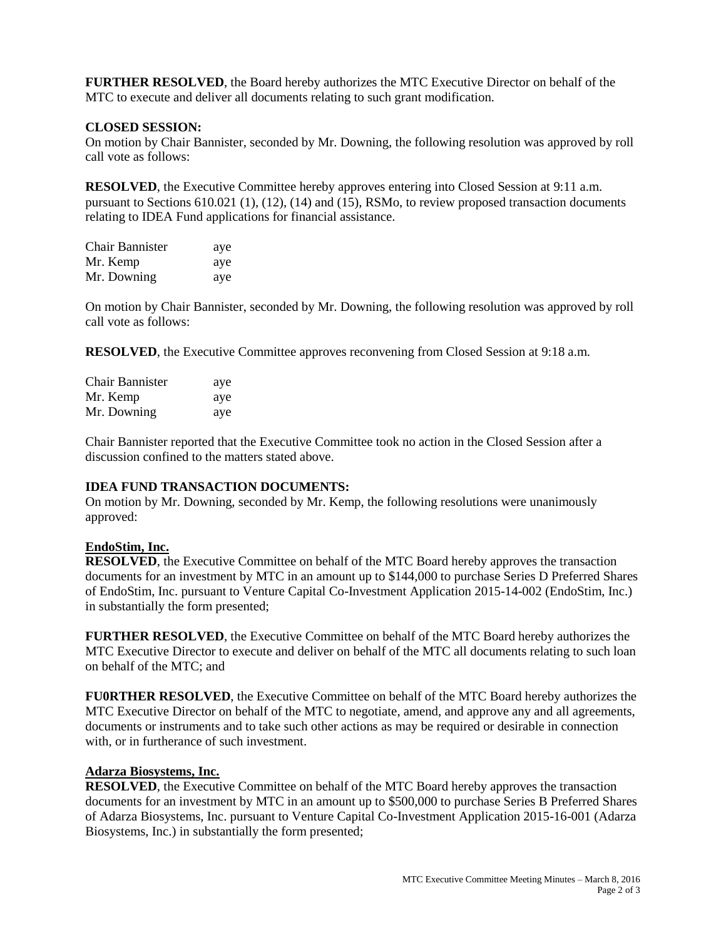**FURTHER RESOLVED**, the Board hereby authorizes the MTC Executive Director on behalf of the MTC to execute and deliver all documents relating to such grant modification.

## **CLOSED SESSION:**

On motion by Chair Bannister, seconded by Mr. Downing, the following resolution was approved by roll call vote as follows:

**RESOLVED**, the Executive Committee hereby approves entering into Closed Session at 9:11 a.m. pursuant to Sections 610.021 (1), (12), (14) and (15), RSMo, to review proposed transaction documents relating to IDEA Fund applications for financial assistance.

| <b>Chair Bannister</b> | aye |
|------------------------|-----|
| Mr. Kemp               | aye |
| Mr. Downing            | aye |

On motion by Chair Bannister, seconded by Mr. Downing, the following resolution was approved by roll call vote as follows:

**RESOLVED**, the Executive Committee approves reconvening from Closed Session at 9:18 a.m.

| <b>Chair Bannister</b> | aye |
|------------------------|-----|
| Mr. Kemp               | aye |
| Mr. Downing            | aye |

Chair Bannister reported that the Executive Committee took no action in the Closed Session after a discussion confined to the matters stated above.

## **IDEA FUND TRANSACTION DOCUMENTS:**

On motion by Mr. Downing, seconded by Mr. Kemp, the following resolutions were unanimously approved:

# **EndoStim, Inc.**

**RESOLVED**, the Executive Committee on behalf of the MTC Board hereby approves the transaction documents for an investment by MTC in an amount up to \$144,000 to purchase Series D Preferred Shares of EndoStim, Inc. pursuant to Venture Capital Co-Investment Application 2015-14-002 (EndoStim, Inc.) in substantially the form presented;

**FURTHER RESOLVED**, the Executive Committee on behalf of the MTC Board hereby authorizes the MTC Executive Director to execute and deliver on behalf of the MTC all documents relating to such loan on behalf of the MTC; and

**FU0RTHER RESOLVED**, the Executive Committee on behalf of the MTC Board hereby authorizes the MTC Executive Director on behalf of the MTC to negotiate, amend, and approve any and all agreements, documents or instruments and to take such other actions as may be required or desirable in connection with, or in furtherance of such investment.

## **Adarza Biosystems, Inc.**

**RESOLVED**, the Executive Committee on behalf of the MTC Board hereby approves the transaction documents for an investment by MTC in an amount up to \$500,000 to purchase Series B Preferred Shares of Adarza Biosystems, Inc. pursuant to Venture Capital Co-Investment Application 2015-16-001 (Adarza Biosystems, Inc.) in substantially the form presented;